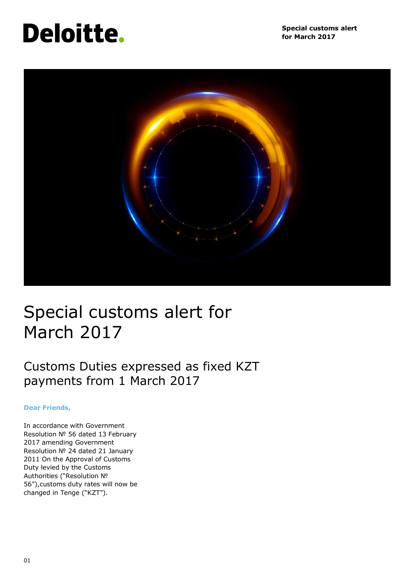# **Deloitte.**



## Special customs alert for March 2017

### Customs Duties expressed as fixed KZT payments from 1 March 2017

#### **Dear Friends,**

In accordance with Government Resolution № 56 dated 13 February 2017 amending Government Resolution № 24 dated 21 January 2011 On the Approval of Customs Duty levied by the Customs Authorities ("Resolution № 56"),customs duty rates will now be changed in Tenge ("KZT").